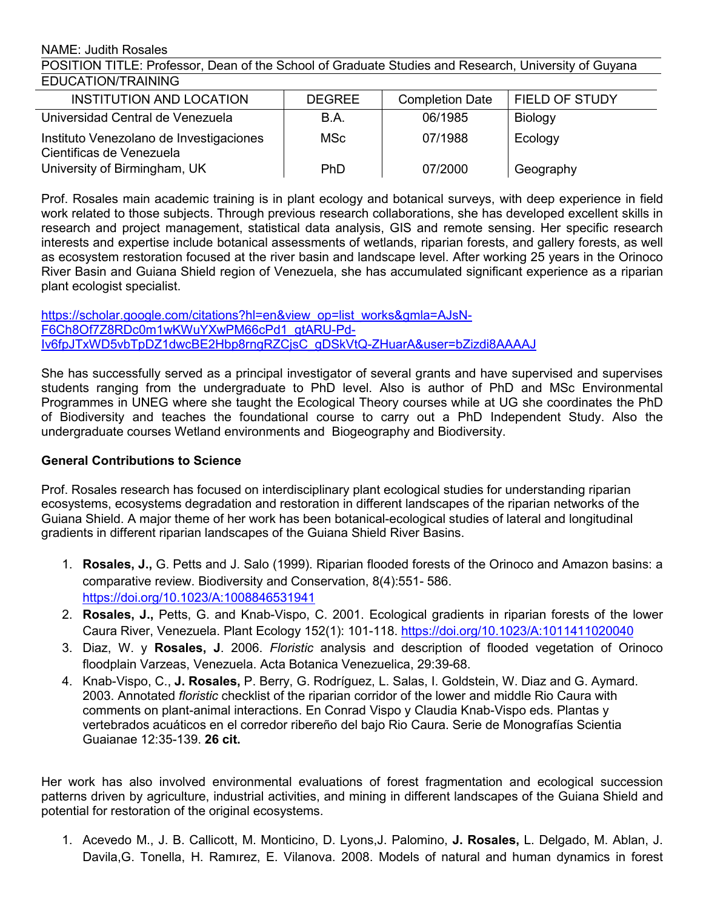NAME: Judith Rosales

POSITION TITLE: Professor, Dean of the School of Graduate Studies and Research, University of Guyana EDUCATION/TRAINING

| INSTITUTION AND LOCATION                                            | <b>DEGREE</b> | <b>Completion Date</b> | FIELD OF STUDY |  |
|---------------------------------------------------------------------|---------------|------------------------|----------------|--|
| Universidad Central de Venezuela                                    | B.A.          | 06/1985                | <b>Biology</b> |  |
| Instituto Venezolano de Investigaciones<br>Cientificas de Venezuela | <b>MSc</b>    | 07/1988                | Ecology        |  |
| University of Birmingham, UK                                        | PhD           | 07/2000                | Geography      |  |

Prof. Rosales main academic training is in plant ecology and botanical surveys, with deep experience in field work related to those subjects. Through previous research collaborations, she has developed excellent skills in research and project management, statistical data analysis, GIS and remote sensing. Her specific research interests and expertise include botanical assessments of wetlands, riparian forests, and gallery forests, as well as ecosystem restoration focused at the river basin and landscape level. After working 25 years in the Orinoco River Basin and Guiana Shield region of Venezuela, she has accumulated significant experience as a riparian plant ecologist specialist.

[https://scholar.google.com/citations?hl=en&view\\_op=list\\_works&gmla=AJsN-](https://scholar.google.com/citations?hl=en&view_op=list_works&gmla=AJsN-F6Ch8Of7Z8RDc0m1wKWuYXwPM66cPd1_gtARU-Pd-Iv6fpJTxWD5vbTpDZ1dwcBE2Hbp8rngRZCjsC_gDSkVtQ-ZHuarA&user=bZizdi8AAAAJ) F6Ch8Of7Z8RDc0m1wKWuYXwPM66cPd1\_gtARU-Pd-Iv6fpJTxWD5vbTpDZ1dwcBE2Hbp8rngRZCjsC\_gDSkVtQ-ZHuarA&user=bZizdi8AAAAJ

She has successfully served as a principal investigator of several grants and have supervised and supervises students ranging from the undergraduate to PhD level. Also is author of PhD and MSc Environmental Programmes in UNEG where she taught the Ecological Theory courses while at UG she coordinates the PhD of Biodiversity and teaches the foundational course to carry out a PhD Independent Study. Also the undergraduate courses Wetland environments and Biogeography and Biodiversity.

## **General Contributions to Science**

Prof. Rosales research has focused on interdisciplinary plant ecological studies for understanding riparian ecosystems, ecosystems degradation and restoration in different landscapes of the riparian networks of the Guiana Shield. A major theme of her work has been botanical-ecological studies of lateral and longitudinal gradients in different riparian landscapes of the Guiana Shield River Basins.

- 1. **Rosales, J.,** G. Petts and J. Salo (1999). Riparian flooded forests of the Orinoco and Amazon basins: a comparative review. Biodiversity and Conservation, 8(4):551- 586. <https://doi.org/10.1023/A:1008846531941>
- 2. **Rosales, J.,** Petts, G. and Knab-Vispo, C. 2001. Ecological gradients in riparian forests of the lower Caura River, Venezuela. Plant Ecology 152(1): 101-118. <https://doi.org/10.1023/A:1011411020040>
- 3. Diaz, W. y **Rosales, J**. 2006. *Floristic* analysis and description of flooded vegetation of Orinoco floodplain Varzeas, Venezuela. Acta Botanica Venezuelica, 29:39-68.
- 4. Knab-Vispo, C., **J. Rosales,** P. Berry, G. Rodríguez, L. Salas, I. Goldstein, W. Diaz and G. Aymard.2003. Annotated *floristic* checklist of the riparian corridor ofthe lower and middle Rio Caura with comments on plant-animal interactions. En Conrad Vispo y Claudia Knab-Vispo eds. Plantas y vertebrados acuáticos en el corredor ribereño del bajo Rio Caura. Serie de Monografías Scientia Guaianae 12:35-139. **26 cit.**

Her work has also involved environmental evaluations of forest fragmentation and ecological succession patterns driven by agriculture, industrial activities, and mining in different landscapes of the Guiana Shield and potential for restoration of the original ecosystems.

1. Acevedo M., J. B. Callicott, M. Monticino, D. Lyons,J. Palomino, **J. Rosales,** L. Delgado, M. Ablan, J. Davila,G. Tonella, H. Ramırez, E. Vilanova. 2008. Models of natural and human dynamics in forest